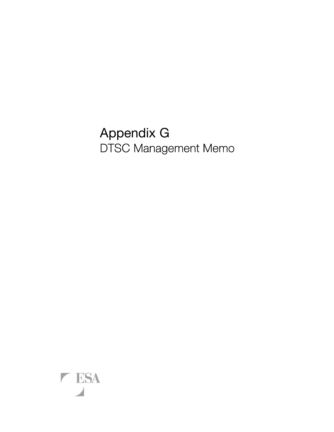# Appendix G DTSC Management Memo

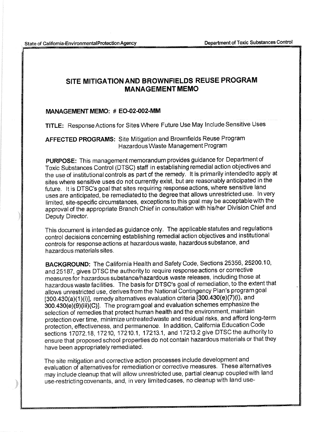State of California-EnvironmentalProtection Agency

## SITE MITIGATION AND BROWNFIELDS REUSE PROGRAM **MANAGEMENT MEMO**

#### MANAGEMENT MEMO: # EO-02-002-MM

TITLE: Response Actions for Sites Where Future Use May Include Sensitive Uses

AFFECTED PROGRAMS: Site Mitigation and Brownfields Reuse Program Hazardous Waste Management Program

PURPOSE: This management memorandum provides guidance for Department of Toxic Substances Control (DTSC) staff in establishing remedial action objectives and the use of institutional controls as part of the remedy. It is primarily intended to apply at sites where sensitive uses do not currently exist, but are reasonably anticipated in the future. It is DTSC's goal that sites requiring response actions, where sensitive land uses are anticipated, be remediated to the degree that allows unrestricted use. In very limited, site-specific circumstances, exceptions to this goal may be acceptable with the approval of the appropriate Branch Chief in consultation with his/her Division Chief and Deputy Director.

This document is intended as guidance only. The applicable statutes and regulations control decisions concerning establishing remedial action objectives and institutional controls for response actions at hazardous waste, hazardous substance, and hazardous materials sites.

BACKGROUND: The California Health and Safety Code, Sections 25356, 25200.10, and 25187, gives DTSC the authority to require response actions or corrective measures for hazardous substance/hazardous waste releases, including those at hazardous waste facilities. The basis for DTSC's goal of remediation, to the extent that allows unrestricted use, derives from the National Contingency Plan's program goal  $[300.430(a)(1)(i)]$ , remedy alternatives evaluation criteria  $[300.430(e)(7)(i)$ , and 300.430(e)(9)(iii)(C)]. The program goal and evaluation schemes emphasize the selection of remedies that protect human health and the environment, maintain protection over time, minimize untreated waste and residual risks, and afford long-term protection, effectiveness, and permanence. In addition, California Education Code sections 17072.18, 17210, 17210.1, 17213.1, and 17213.2 give DTSC the authority to ensure that proposed school properties do not contain hazardous materials or that they have been appropriately remediated.

The site mitigation and corrective action processes include development and evaluation of alternatives for remediation or corrective measures. These alternatives may include cleanup that will allow unrestricted use, partial cleanup coupled with land use-restricting covenants, and, in very limited cases, no cleanup with land use-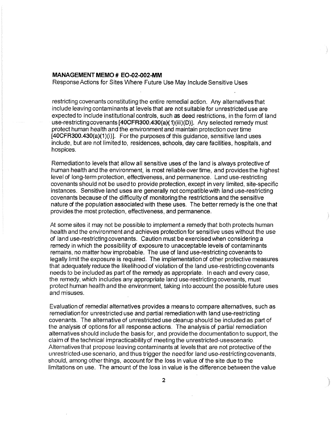#### **MANAGEMENT MEMO # EO-02-002-MM**

Response Actions for Sites Where Future Use May Include Sensitive Uses

restricting covenants constituting the entire remedial action. Any alternatives that include leaving contaminants at levels that are not suitable for unrestricted use are expected to include institutional controls, such as deed restrictions, in the form of land use-restricting covenants **[40CFA300.430(a)(** 1)(iii)(D)]. Any selected remedy must protect human health and the environment and maintain protection over time  $[40CFR300.430(a)(1)(i)]$ . For the purposes of this guidance, sensitive land uses include, but are not limited to, residences, schools, day care facilities, hospitals, and hospices. .

Remediationto levels that allow all sensitive uses of the land is always protective of human health and the environment, is most reliable over time, and provides the highest level of long-term protection, effectiveness, and permanence. Land use-restricting covenants should not be used to provide protection, except in very limited, site-specific instances. Sensitive land uses are generally not compatible with land use-restricting covenants because of the difficulty of monitoring the restrictions and the sensitive nature of the population associated with these uses. The better remedy is the one that provides the most protection, effectiveness, and permanence.

At some sites it may not be possible to implement a remedy that both protects human health and the environment and achieves protection for sensitive uses without the use of land use-restricting covenants. Caution must be exercised when considering a remedy in which the possibility of exposure to unacceptable levels of contaminants remains, no matter how improbable. The use of land use-restricting covenants to legally limit the exposure is required. The implementation of other protective measures that adequately reduce the likelihood of violation of the land use-restricting covenants needs to be included as part of the remedy as appropriate. In each and every case, the remedy, which includes any appropriate land use-restricting covenants, must protect human health and the environment, taking into account the possible future uses and misuses.

Evaluation of remedial alternatives provides a means to compare alternatives, such as remediation for unrestricted use and partial remediation with land use-restricting covenants. The alternative of unrestricted use cleanup should be included as part of the analysis of options for all response actions. The analysis of partial remediation alternatives should include the basis for, and provide the documentation to support, the claim of the technical impracticability of meeting the unrestricted-usescenario. Alternatives that propose leaving contaminants at levels that are not protective of the unrestricted-use scenario, and thus trigger the need for land use-restricting covenants, should, among other things, account for the loss in value of the site due to the limitations on use. The amount of the loss in value is the difference between the value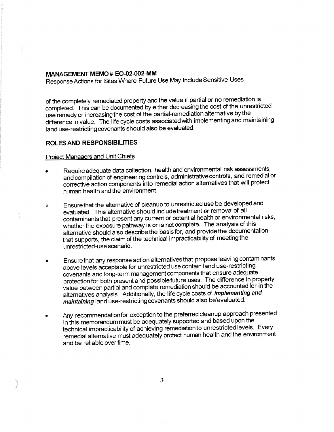#### MANAGEMENT MEMO# EO-02-002-MM

Response Actions for Sites Where Future Use May Include Sensitive Uses

of the completely remediated property and the value if partial or no remediation is completed. This can be documented by either decreasing the cost of the unrestricted use remedy or increasing the cost of the partial-remediation alternative by the difference in value. The life cycle costs associated with implementing and maintaining land use-restricting covenants should also be evaluated.

### **ROLES AND RESPONSIBILITIES**

#### **Project Manaaers and Unit Chiefs**

- Require adequate data collection, health and environmental risk assessments, and compilation of engineering controls, administrative controls, and remedial or corrective action components into remedial action alternatives that will protect human health and the environment.
- Ensure that the alternative of cleanup to unrestricted use be developed and o evatuated. This alternative should include treatment or removal of all contaminants that present any current or potential health or environmental risks, whether the exposure pathway is or is not complete. The analysis of this alternative should also describe the basis for, and provide the documentation that supports, the claim of the technical impracticability of meeting the unrestricted-use scenario.
- Ensure that any response action alternatives that propose leaving contaminants above levels acceptable for unrestricted use contain land use-restricting covenants and long-term management components that ensure adequate protection for both present and possible future uses. The difference in property value between partial and complete remediation should be accounted for in the alternatives analysis. Additionally, the life cycle costs of *implementing and* maintaining land use-restricting covenants should also be'evaluated.
- Any recommendation for exception to the preferred cleanup approach presented in this memorandum must be adequately supported and based upon the technical impracticability of achieving remediation to unrestricted levels. Every remedial alternative must adequately protect human health and the environment and be reliable over time.